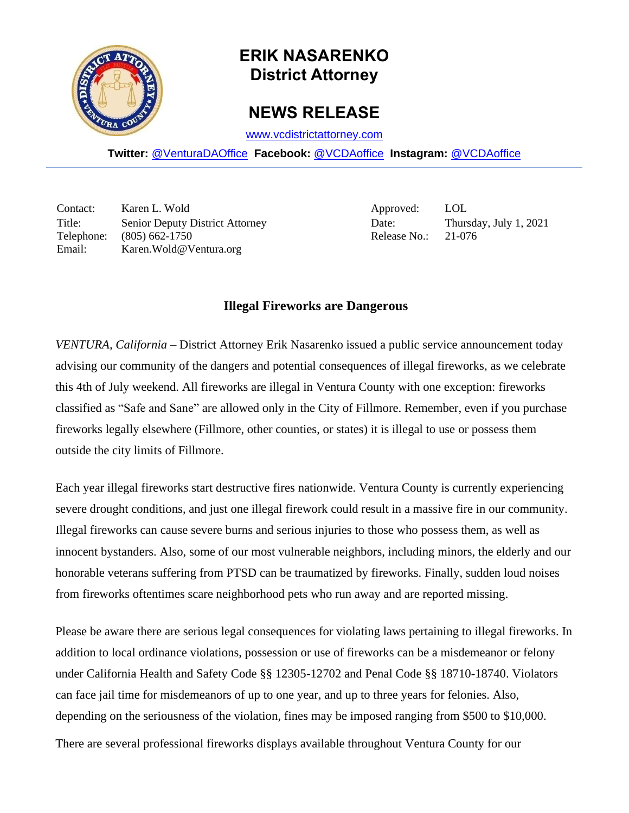

## **ERIK NASARENKO District Attorney**

## **NEWS RELEASE**

[www.vcdistrictattorney.com](http://www.vcdistrictattorney.com/)

**Twitter:** [@VenturaDAOffice](https://twitter.com/venturadaoffice) **Facebook:** [@VCDAoffice](https://facebook.com/VCDAoffice) **Instagram:** [@VCDAoffice](https://instagram.com/VCDAoffice)

Contact: Karen L. Wold Approved: LOL Title: Senior Deputy District Attorney Date: Thursday, July 1, 2021 Telephone: (805) 662-1750 Release No.: 21-076 Email: Karen.Wold@Ventura.org

## **Illegal Fireworks are Dangerous**

*VENTURA, California* – District Attorney Erik Nasarenko issued a public service announcement today advising our community of the dangers and potential consequences of illegal fireworks, as we celebrate this 4th of July weekend. All fireworks are illegal in Ventura County with one exception: fireworks classified as "Safe and Sane" are allowed only in the City of Fillmore. Remember, even if you purchase fireworks legally elsewhere (Fillmore, other counties, or states) it is illegal to use or possess them outside the city limits of Fillmore.

Each year illegal fireworks start destructive fires nationwide. Ventura County is currently experiencing severe drought conditions, and just one illegal firework could result in a massive fire in our community. Illegal fireworks can cause severe burns and serious injuries to those who possess them, as well as innocent bystanders. Also, some of our most vulnerable neighbors, including minors, the elderly and our honorable veterans suffering from PTSD can be traumatized by fireworks. Finally, sudden loud noises from fireworks oftentimes scare neighborhood pets who run away and are reported missing.

Please be aware there are serious legal consequences for violating laws pertaining to illegal fireworks. In addition to local ordinance violations, possession or use of fireworks can be a misdemeanor or felony under California Health and Safety Code §§ 12305-12702 and Penal Code §§ 18710-18740. Violators can face jail time for misdemeanors of up to one year, and up to three years for felonies. Also, depending on the seriousness of the violation, fines may be imposed ranging from \$500 to \$10,000.

There are several professional fireworks displays available throughout Ventura County for our